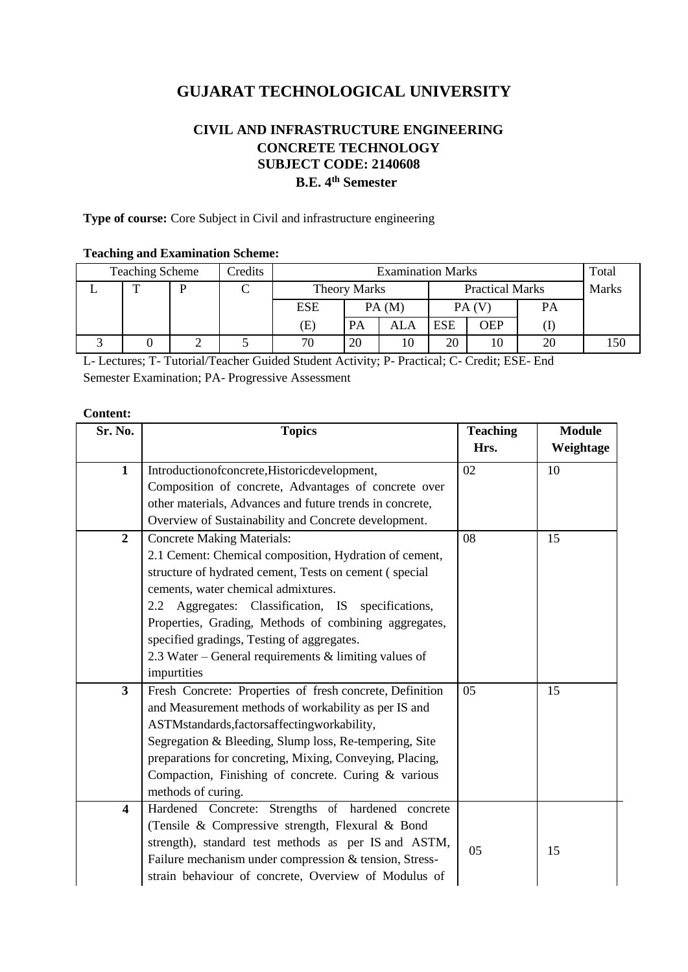# **GUJARAT TECHNOLOGICAL UNIVERSITY**

## **CIVIL AND INFRASTRUCTURE ENGINEERING CONCRETE TECHNOLOGY SUBJECT CODE: 2140608 B.E. 4th Semester**

**Type of course:** Core Subject in Civil and infrastructure engineering

#### **Teaching and Examination Scheme:**

| <b>Teaching Scheme</b><br>Credits |  |  |  | <b>Examination Marks</b> |       |                        |            |              | Total |     |
|-----------------------------------|--|--|--|--------------------------|-------|------------------------|------------|--------------|-------|-----|
|                                   |  |  |  | <b>Theory Marks</b>      |       | <b>Practical Marks</b> |            | <b>Marks</b> |       |     |
|                                   |  |  |  | <b>ESE</b>               | PA(M) |                        | PA(V)      |              | PA    |     |
|                                   |  |  |  | (E)                      | PA    | ALA                    | <b>ESE</b> | OEP          |       |     |
|                                   |  |  |  | 70                       | 20    | 10                     | 20         | 10           | 20    | 50، |

L- Lectures; T- Tutorial/Teacher Guided Student Activity; P- Practical; C- Credit; ESE- End Semester Examination; PA- Progressive Assessment

#### **Content:**

| Sr. No.                 | <b>Topics</b>                                            | <b>Teaching</b> | <b>Module</b> |
|-------------------------|----------------------------------------------------------|-----------------|---------------|
|                         |                                                          | Hrs.            | Weightage     |
| $\mathbf{1}$            | Introductionofconcrete, Historic development,            | 02              | 10            |
|                         | Composition of concrete, Advantages of concrete over     |                 |               |
|                         | other materials, Advances and future trends in concrete, |                 |               |
|                         | Overview of Sustainability and Concrete development.     |                 |               |
| $\overline{2}$          | <b>Concrete Making Materials:</b>                        | 08              | 15            |
|                         | 2.1 Cement: Chemical composition, Hydration of cement,   |                 |               |
|                         | structure of hydrated cement, Tests on cement (special   |                 |               |
|                         | cements, water chemical admixtures.                      |                 |               |
|                         | Aggregates: Classification, IS specifications,<br>2.2    |                 |               |
|                         | Properties, Grading, Methods of combining aggregates,    |                 |               |
|                         | specified gradings, Testing of aggregates.               |                 |               |
|                         | 2.3 Water – General requirements $\&$ limiting values of |                 |               |
|                         | impurtities                                              |                 |               |
| $\mathbf{3}$            | Fresh Concrete: Properties of fresh concrete, Definition | 05              | 15            |
|                         | and Measurement methods of workability as per IS and     |                 |               |
|                         | ASTMstandards, factors affecting workability,            |                 |               |
|                         | Segregation & Bleeding, Slump loss, Re-tempering, Site   |                 |               |
|                         | preparations for concreting, Mixing, Conveying, Placing, |                 |               |
|                         | Compaction, Finishing of concrete. Curing & various      |                 |               |
|                         | methods of curing.                                       |                 |               |
| $\overline{\mathbf{4}}$ | Hardened Concrete: Strengths of hardened concrete        |                 |               |
|                         | (Tensile & Compressive strength, Flexural & Bond         |                 |               |
|                         | strength), standard test methods as per IS and ASTM,     | 05              | 15            |
|                         | Failure mechanism under compression & tension, Stress-   |                 |               |
|                         | strain behaviour of concrete, Overview of Modulus of     |                 |               |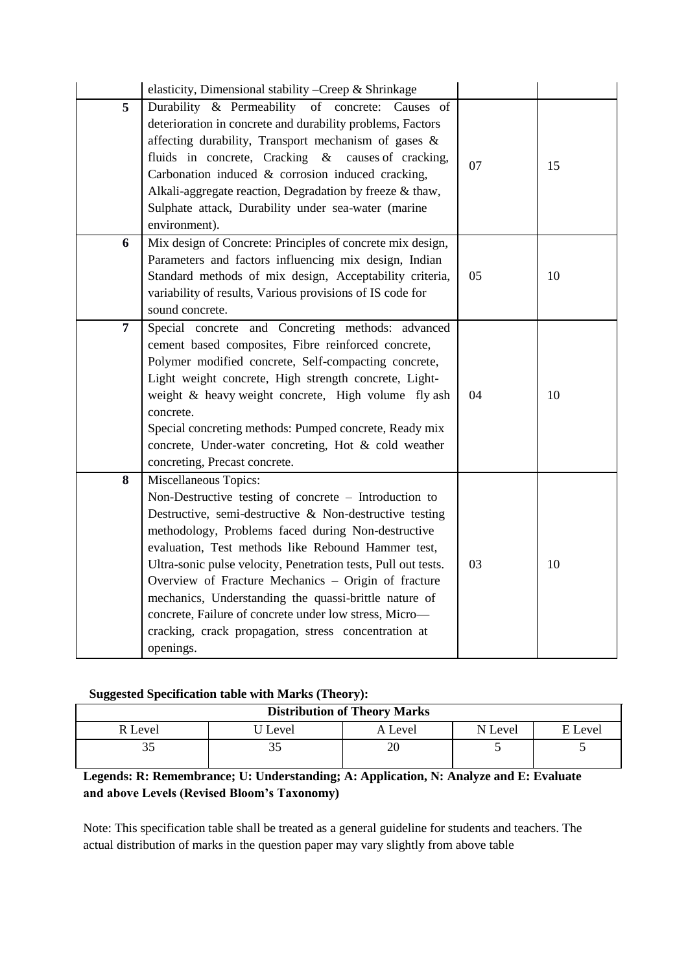|                | elasticity, Dimensional stability - Creep & Shrinkage                                                                                                                                                                                                                                                                                                                                                                                                                                                                                                                  |    |    |
|----------------|------------------------------------------------------------------------------------------------------------------------------------------------------------------------------------------------------------------------------------------------------------------------------------------------------------------------------------------------------------------------------------------------------------------------------------------------------------------------------------------------------------------------------------------------------------------------|----|----|
| 5              | Durability & Permeability of concrete: Causes of<br>deterioration in concrete and durability problems, Factors<br>affecting durability, Transport mechanism of gases &<br>fluids in concrete, Cracking & causes of cracking,<br>Carbonation induced & corrosion induced cracking,<br>Alkali-aggregate reaction, Degradation by freeze & thaw,<br>Sulphate attack, Durability under sea-water (marine<br>environment).                                                                                                                                                  | 07 | 15 |
| 6              | Mix design of Concrete: Principles of concrete mix design,<br>Parameters and factors influencing mix design, Indian<br>Standard methods of mix design, Acceptability criteria,<br>variability of results, Various provisions of IS code for<br>sound concrete.                                                                                                                                                                                                                                                                                                         | 05 | 10 |
| $\overline{7}$ | Special concrete and Concreting methods: advanced<br>cement based composites, Fibre reinforced concrete,<br>Polymer modified concrete, Self-compacting concrete,<br>Light weight concrete, High strength concrete, Light-<br>weight & heavy weight concrete, High volume fly ash<br>concrete.<br>Special concreting methods: Pumped concrete, Ready mix<br>concrete, Under-water concreting, Hot & cold weather<br>concreting, Precast concrete.                                                                                                                       | 04 | 10 |
| 8              | Miscellaneous Topics:<br>Non-Destructive testing of concrete – Introduction to<br>Destructive, semi-destructive & Non-destructive testing<br>methodology, Problems faced during Non-destructive<br>evaluation, Test methods like Rebound Hammer test,<br>Ultra-sonic pulse velocity, Penetration tests, Pull out tests.<br>Overview of Fracture Mechanics - Origin of fracture<br>mechanics, Understanding the quassi-brittle nature of<br>concrete, Failure of concrete under low stress, Micro-<br>cracking, crack propagation, stress concentration at<br>openings. | 03 | 10 |

#### **Suggested Specification table with Marks (Theory):**

| 00                                  |         | $\sim$  |         |         |  |  |  |
|-------------------------------------|---------|---------|---------|---------|--|--|--|
| <b>Distribution of Theory Marks</b> |         |         |         |         |  |  |  |
| R Level                             | J Level | A Level | N Level | E Level |  |  |  |
|                                     |         |         |         |         |  |  |  |

### **Legends: R: Remembrance; U: Understanding; A: Application, N: Analyze and E: Evaluate and above Levels (Revised Bloom's Taxonomy)**

Note: This specification table shall be treated as a general guideline for students and teachers. The actual distribution of marks in the question paper may vary slightly from above table